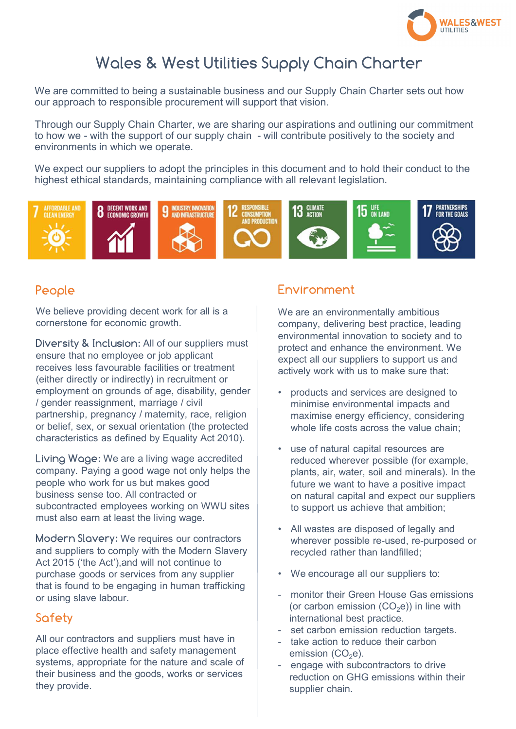

# Wales & West Utilities Supply Chain Charter

We are committed to being a sustainable business and our Supply Chain Charter sets out how our approach to responsible procurement will support that vision.

Through our Supply Chain Charter, we are sharing our aspirations and outlining our commitment Wales & West Utilities Supply Chain Charter Counters we are committed to being a sustainable business and our Supply Chain Charter sets out how our approach to responsible procurement will support that vision.<br>Through our environments in which we operate.

We expect our suppliers to adopt the principles in this document and to hold their conduct to the highest ethical standards, maintaining compliance with all relevant legislation.



#### People

We believe providing decent work for all is a cornerstone for economic growth.

Diversity **x** inclusion: All of our suppliers must<br>ensure that no employee or job applicant<br>expect of our suppliers to support us and (either directly or indirectly) in recruitment or employment on grounds of age, disability, gender  $\|\cdot\|$  products and services are designed to / gender reassignment, marriage / civil partnership, pregnancy / maternity, race, religion | maximise energy efficiency, considering or belief, sex, or sexual orientation (the protected characteristics as defined by Equality Act 2010). Diversity & Inclusion: All of our suppliers must<br>
enveloct and enhance the environmental information to solve the diffuse of the actively star and envelocities the environment<br>
enveloct and enhance the environment<br>
(either

company. Paying a good wage not only helps the people who work for us but makes good business sense too. All contracted or subcontracted employees working on WWU sites must also earn at least the living wage.

and suppliers to comply with the Modern Slavery purchase goods or services from any supplier  $\qquad \qquad$  • We encourage all our suppliers to: that is found to be engaging in human trafficking<br>
or using clave labour<br>
or using clave labour or using slave labour.

## **Safety**

All our contractors and suppliers must have in place effective health and safety management systems, appropriate for the nature and scale of  $\Box$  = engage with subcontractors to drive their business and the goods, works or services they provide.

# Environment

We are an environmentally ambitious company, delivering best practice, leading environmental innovation to society and to expect all our suppliers to support us and actively work with us to make sure that: **Environment**<br>
We are an environmentally ambitious<br>
company, delivering best practice, leading<br>
environmental innovation to society and to<br>
protect and enhance the environment. We<br>
expect all our suppliers to support us an

- whole life costs across the value chain;
- Living Wage: We are a living wage accredited **Living Wage: We are a living wage accredited Living where very possible** (for example of example of example of example of example of example of example of example of example reduced wherever possible (for example, plants, air, water, soil and minerals). In the future we want to have a positive impact on natural capital and expect our suppliers to support us achieve that ambition; We are an environmentally ambitious<br>
company, delivering best practice, leading<br>
environmental innovation to society and to<br>
protect and enhance the environment. We<br>
expect all our suppliers to support us and<br>
actively wor protect and emrance the environment. we<br>expect all our suppliers to support us and<br>actively work with us to make sure that:<br>• products and services are designed to<br>maximise energy efficiency, considering<br>whole life costs actively work with us to make sure that:<br>
• products and services are designed to<br>
minimise environmental impacts and<br>
maximise energy efficiency, considering<br>
whole life costs across the value chain;<br>
• use of natural ca minimise environmental impacts and<br>maximise energy efficiency, considering<br>whole life costs across the value chain;<br>• use of natural capital resources are<br>reduced wherever possible (for example,<br>plants, air, water, soil a maximise energy eniciency, considering<br>whole life costs across the value chain;<br>• use of natural capital resources are<br>reduced wherever possible (for example,<br>plants, air, water, soil and minierals). In the<br>future we want - use of natural capital resources are<br>
reduced wherever possible (for example,<br>
plants, air, water, soil and minerals). In the<br>
future we want to have a positive impact<br>
on natural capital and expect our suppliers<br>
to su
- Modern Slavery: We requires our contractors<br>Modern Slavery: We requires our contractors<br>Modern Slavery: We requires our contractors wherever possible re-used, re-purposed or recycled rather than landfilled;
	-
	- (or carbon emission (CO $_2$ e)) in line with international best practice.
	-
	- emission (CO $_2$ e).
	- reduction on GHG emissions within their supplier chain.